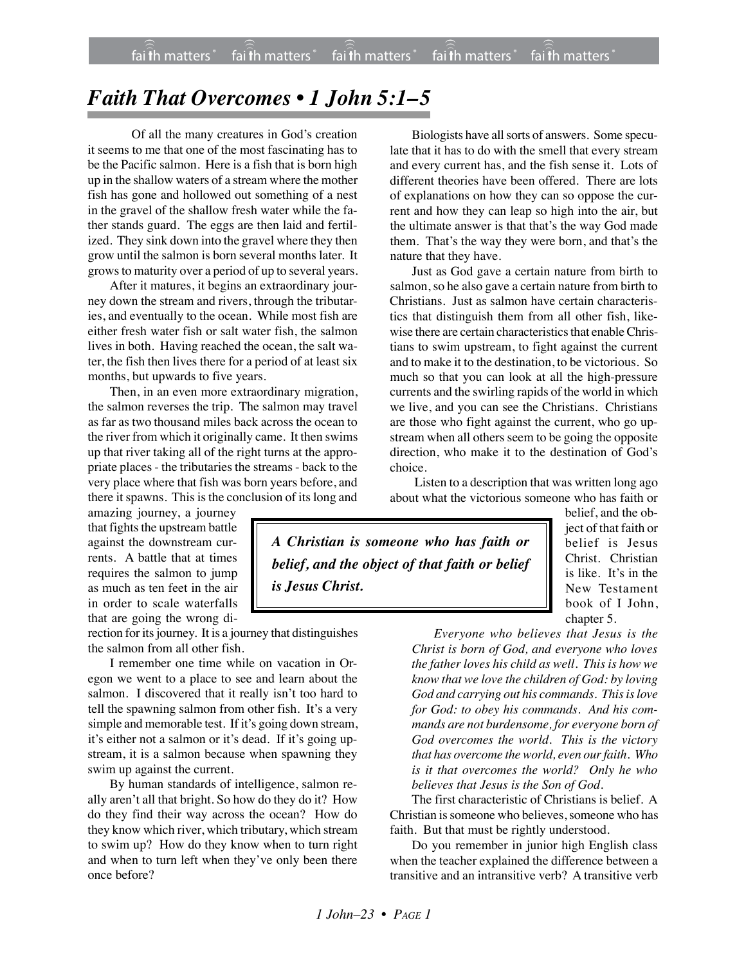## *Faith That Overcomes • 1 John 5:1–5*

Of all the many creatures in God's creation it seems to me that one of the most fascinating has to be the Pacific salmon. Here is a fish that is born high up in the shallow waters of a stream where the mother fish has gone and hollowed out something of a nest in the gravel of the shallow fresh water while the father stands guard. The eggs are then laid and fertilized. They sink down into the gravel where they then grow until the salmon is born several months later. It growsto maturity over a period of up to several years.

After it matures, it begins an extraordinary journey down the stream and rivers, through the tributaries, and eventually to the ocean. While most fish are either fresh water fish or salt water fish, the salmon lives in both. Having reached the ocean, the salt water, the fish then lives there for a period of at least six months, but upwards to five years.

Then, in an even more extraordinary migration, the salmon reverses the trip. The salmon may travel as far as two thousand miles back across the ocean to the river from which it originally came. It then swims up that river taking all of the right turns at the appropriate places - the tributaries the streams - back to the very place where that fish was born years before, and there it spawns. This is the conclusion of its long and

amazing journey, a journey that fights the upstream battle against the downstream currents. A battle that at times requires the salmon to jump as much as ten feet in the air in order to scale waterfalls that are going the wrong di-

rection for its journey. It is a journey that distinguishes the salmon from all other fish.

I remember one time while on vacation in Oregon we went to a place to see and learn about the salmon. I discovered that it really isn't too hard to tell the spawning salmon from other fish. It's a very simple and memorable test. If it's going down stream, it's either not a salmon or it's dead. If it's going upstream, it is a salmon because when spawning they swim up against the current.

By human standards of intelligence, salmon really aren't all that bright. So how do they do it? How do they find their way across the ocean? How do they know which river, which tributary, which stream to swim up? How do they know when to turn right and when to turn left when they've only been there once before?

Biologists have all sorts of answers. Some speculate that it has to do with the smell that every stream and every current has, and the fish sense it. Lots of different theories have been offered. There are lots of explanations on how they can so oppose the current and how they can leap so high into the air, but the ultimate answer is that that's the way God made them. That's the way they were born, and that's the nature that they have.

Just as God gave a certain nature from birth to salmon, so he also gave a certain nature from birth to Christians. Just as salmon have certain characteristics that distinguish them from all other fish, likewise there are certain characteristics that enableChristians to swim upstream, to fight against the current and to make it to the destination, to be victorious. So much so that you can look at all the high-pressure currents and the swirling rapids of the world in which we live, and you can see the Christians. Christians are those who fight against the current, who go upstream when all others seem to be going the opposite direction, who make it to the destination of God's choice.

 Listen to a description that was written long ago about what the victorious someone who has faith or

*A Christian is someone who has faith or belief, and the object of that faith or belief is Jesus Christ.*

belief, and the object of that faith or belief is Jesus Christ. Christian is like. It's in the New Testament book of I John, chapter 5.

*Everyone who believes that Jesus is the Christ is born of God, and everyone who loves the father loves his child as well. This is how we know that we love the children of God: by loving God and carrying out his commands. This is love for God: to obey his commands. And his commands are not burdensome, for everyone born of God overcomes the world. This is the victory that has overcome the world, even ourfaith. Who is it that overcomes the world? Only he who believes that Jesus is the Son of God.*

The first characteristic of Christians is belief. A Christian is someone who believes, someone who has faith. But that must be rightly understood.

Do you remember in junior high English class when the teacher explained the difference between a transitive and an intransitive verb? A transitive verb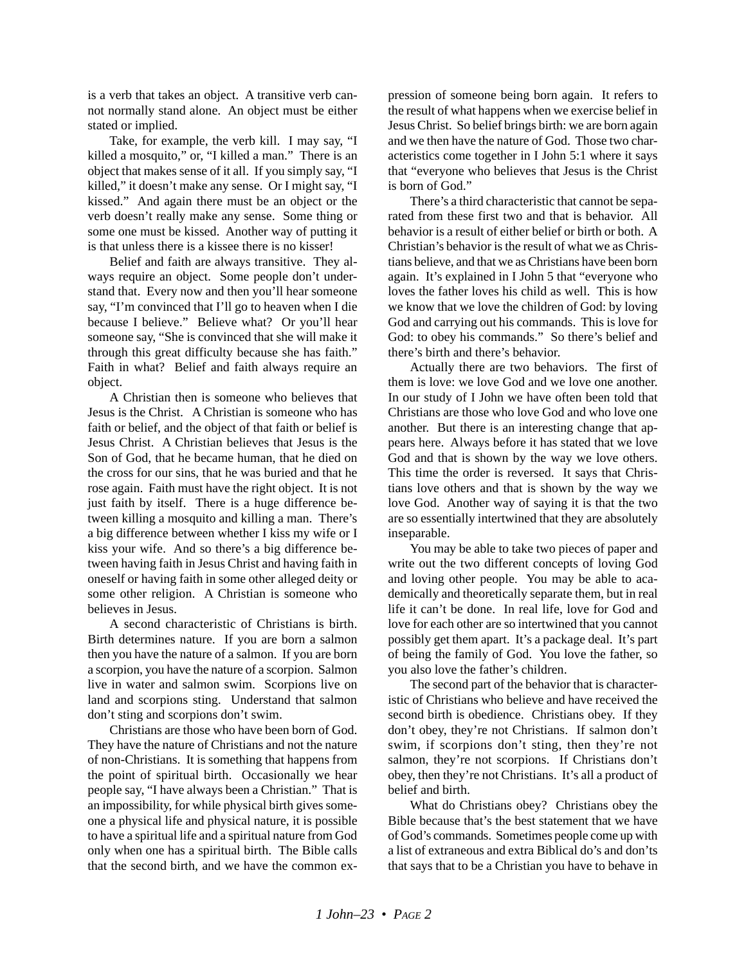is a verb that takes an object. A transitive verb cannot normally stand alone. An object must be either stated or implied.

Take, for example, the verb kill. I may say, "I killed a mosquito," or, "I killed a man." There is an object that makes sense of it all. If you simply say, "I killed," it doesn't make any sense. Or I might say, "I kissed." And again there must be an object or the verb doesn't really make any sense. Some thing or some one must be kissed. Another way of putting it is that unless there is a kissee there is no kisser!

Belief and faith are always transitive. They always require an object. Some people don't understand that. Every now and then you'll hear someone say, "I'm convinced that I'll go to heaven when I die because I believe." Believe what? Or you'll hear someone say, "She is convinced that she will make it through this great difficulty because she has faith." Faith in what? Belief and faith always require an object.

A Christian then is someone who believes that Jesus is the Christ. A Christian is someone who has faith or belief, and the object of that faith or belief is Jesus Christ. A Christian believes that Jesus is the Son of God, that he became human, that he died on the cross for our sins, that he was buried and that he rose again. Faith must have the right object. It is not just faith by itself. There is a huge difference between killing a mosquito and killing a man. There's a big difference between whether I kiss my wife or I kiss your wife. And so there's a big difference between having faith in Jesus Christ and having faith in oneself or having faith in some other alleged deity or some other religion. A Christian is someone who believes in Jesus.

A second characteristic of Christians is birth. Birth determines nature. If you are born a salmon then you have the nature of a salmon. If you are born a scorpion, you have the nature of a scorpion. Salmon live in water and salmon swim. Scorpions live on land and scorpions sting. Understand that salmon don't sting and scorpions don't swim.

Christians are those who have been born of God. They have the nature of Christians and not the nature of non-Christians. It is something that happens from the point of spiritual birth. Occasionally we hear people say, "I have always been a Christian." That is an impossibility, for while physical birth gives someone a physical life and physical nature, it is possible to have a spiritual life and a spiritual nature from God only when one has a spiritual birth. The Bible calls that the second birth, and we have the common expression of someone being born again. It refers to the result of what happens when we exercise belief in Jesus Christ. So belief brings birth: we are born again and we then have the nature of God. Those two characteristics come together in I John 5:1 where it says that "everyone who believes that Jesus is the Christ is born of God."

There's a third characteristic that cannot be separated from these first two and that is behavior. All behavior is a result of either belief or birth or both. A Christian's behavior is the result of what we as Christians believe, and that we as Christians have been born again. It's explained in I John 5 that "everyone who loves the father loves his child as well. This is how we know that we love the children of God: by loving God and carrying out his commands. This is love for God: to obey his commands." So there's belief and there's birth and there's behavior.

Actually there are two behaviors. The first of them is love: we love God and we love one another. In our study of I John we have often been told that Christians are those who love God and who love one another. But there is an interesting change that appears here. Always before it has stated that we love God and that is shown by the way we love others. This time the order is reversed. It says that Christians love others and that is shown by the way we love God. Another way of saying it is that the two are so essentially intertwined that they are absolutely inseparable.

You may be able to take two pieces of paper and write out the two different concepts of loving God and loving other people. You may be able to academically and theoretically separate them, but in real life it can't be done. In real life, love for God and love for each other are so intertwined that you cannot possibly get them apart. It's a package deal. It's part of being the family of God. You love the father, so you also love the father's children.

The second part of the behavior that is characteristic of Christians who believe and have received the second birth is obedience. Christians obey. If they don't obey, they're not Christians. If salmon don't swim, if scorpions don't sting, then they're not salmon, they're not scorpions. If Christians don't obey, then they're not Christians. It's all a product of belief and birth.

What do Christians obey? Christians obey the Bible because that's the best statement that we have of God's commands. Sometimes people come up with a list of extraneous and extra Biblical do's and don'ts that says that to be a Christian you have to behave in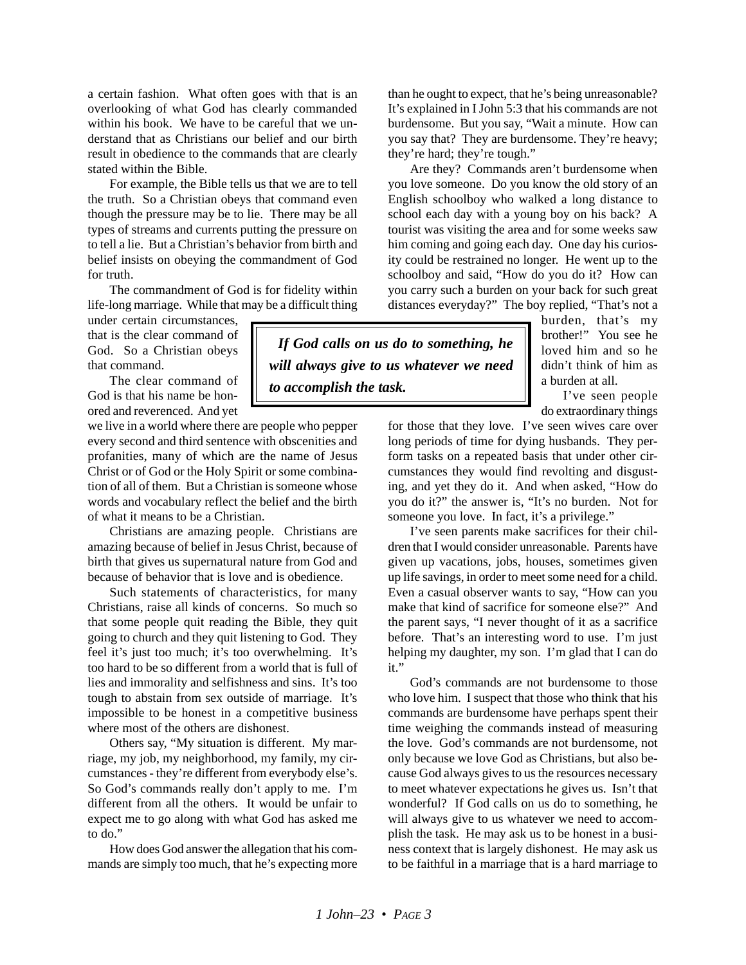a certain fashion. What often goes with that is an overlooking of what God has clearly commanded within his book. We have to be careful that we understand that as Christians our belief and our birth result in obedience to the commands that are clearly stated within the Bible.

For example, the Bible tells us that we are to tell the truth. So a Christian obeys that command even though the pressure may be to lie. There may be all types of streams and currents putting the pressure on to tell a lie. But a Christian's behavior from birth and belief insists on obeying the commandment of God for truth.

The commandment of God is for fidelity within life-long marriage. While that may be a difficult thing

under certain circumstances, that is the clear command of God. So a Christian obeys that command.

The clear command of God is that his name be honored and reverenced. And yet

we live in a world where there are people who pepper every second and third sentence with obscenities and profanities, many of which are the name of Jesus Christ or of God or the Holy Spirit or some combination of all of them. But a Christian is someone whose words and vocabulary reflect the belief and the birth of what it means to be a Christian.

Christians are amazing people. Christians are amazing because of belief in Jesus Christ, because of birth that gives us supernatural nature from God and because of behavior that is love and is obedience.

Such statements of characteristics, for many Christians, raise all kinds of concerns. So much so that some people quit reading the Bible, they quit going to church and they quit listening to God. They feel it's just too much; it's too overwhelming. It's too hard to be so different from a world that is full of lies and immorality and selfishness and sins. It's too tough to abstain from sex outside of marriage. It's impossible to be honest in a competitive business where most of the others are dishonest.

Others say, "My situation is different. My marriage, my job, my neighborhood, my family, my circumstances - they're different from everybody else's. So God's commands really don't apply to me. I'm different from all the others. It would be unfair to expect me to go along with what God has asked me to do."

How does God answer the allegation that his commands are simply too much, that he's expecting more than he ought to expect, that he's being unreasonable? It's explained in I John 5:3 that his commands are not burdensome. But you say, "Wait a minute. How can you say that? They are burdensome. They're heavy; they're hard; they're tough."

Are they? Commands aren't burdensome when you love someone. Do you know the old story of an English schoolboy who walked a long distance to school each day with a young boy on his back? A tourist was visiting the area and for some weeks saw him coming and going each day. One day his curiosity could be restrained no longer. He went up to the schoolboy and said, "How do you do it? How can you carry such a burden on your back for such great distances everyday?" The boy replied, "That's not a

 *If God calls on us do to something, he will always give to us whatever we need to accomplish the task.*

burden, that's my brother!" You see he loved him and so he didn't think of him as a burden at all.

I've seen people do extraordinary things

for those that they love. I've seen wives care over long periods of time for dying husbands. They perform tasks on a repeated basis that under other circumstances they would find revolting and disgusting, and yet they do it. And when asked, "How do you do it?" the answer is, "It's no burden. Not for someone you love. In fact, it's a privilege."

I've seen parents make sacrifices for their children that I would consider unreasonable. Parents have given up vacations, jobs, houses, sometimes given up life savings, in order to meet some need for a child. Even a casual observer wants to say, "How can you make that kind of sacrifice for someone else?" And the parent says, "I never thought of it as a sacrifice before. That's an interesting word to use. I'm just helping my daughter, my son. I'm glad that I can do it."

God's commands are not burdensome to those who love him. I suspect that those who think that his commands are burdensome have perhaps spent their time weighing the commands instead of measuring the love. God's commands are not burdensome, not only because we love God as Christians, but also because God always gives to us the resources necessary to meet whatever expectations he gives us. Isn't that wonderful? If God calls on us do to something, he will always give to us whatever we need to accomplish the task. He may ask us to be honest in a business context that is largely dishonest. He may ask us to be faithful in a marriage that is a hard marriage to